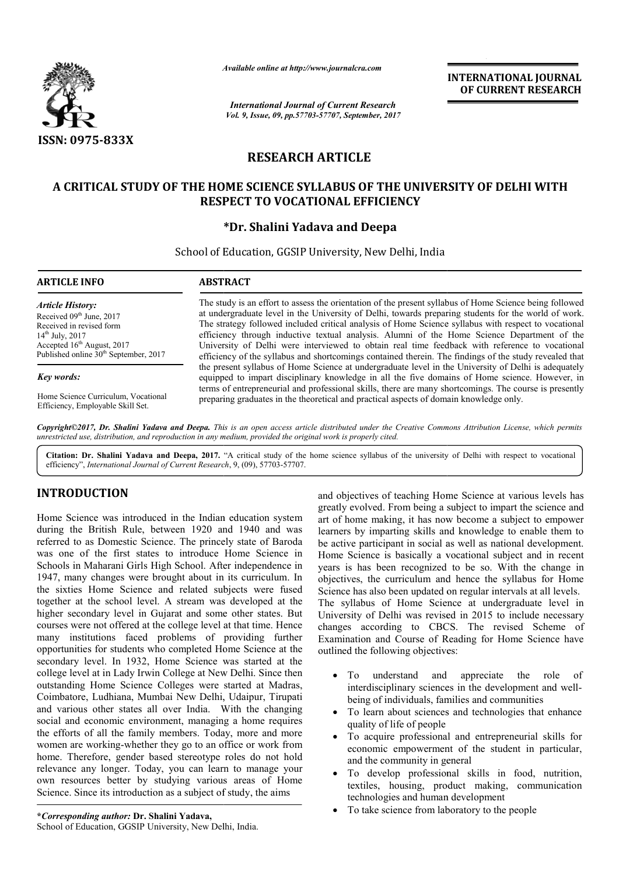

*Available online at http://www.journalcra.com*

*International Journal of Current Research Vol. 9, Issue, 09, pp.57703-57707, September, 2017* **INTERNATIONAL JOURNAL OF CURRENT RESEARCH**

# **RESEARCH ARTICLE**

# **A CRITICAL STUDY OF THE HOME SCIENCE SYLLABUS OF THE UNIVERSITY OF DELHI WITH RESPECT TO VOCATIONAL EFFICIENCY**

## **\*Dr. Shalini Yadava and Deepa**

School of Education, GGSIP University, New Delhi, India

| ARTICLE INFO                                                                                                                                                                                                                                                                                                                                                                                                      | <b>ABSTRACT</b>                                                                                                                                                                                                                                                                                                                                                                                                                                                                                                                                                                                                                    |  |
|-------------------------------------------------------------------------------------------------------------------------------------------------------------------------------------------------------------------------------------------------------------------------------------------------------------------------------------------------------------------------------------------------------------------|------------------------------------------------------------------------------------------------------------------------------------------------------------------------------------------------------------------------------------------------------------------------------------------------------------------------------------------------------------------------------------------------------------------------------------------------------------------------------------------------------------------------------------------------------------------------------------------------------------------------------------|--|
| Article History:<br>Received 09 <sup>th</sup> June, 2017<br>Received in revised form<br>$14^{th}$ July, 2017<br>Accepted $16th$ August, 2017<br>Published online 30 <sup>th</sup> September, 2017                                                                                                                                                                                                                 | The study is an effort to assess the orientation of the present syllabus of Home Science being followed<br>at undergraduate level in the University of Delhi, towards preparing students for the world of work.<br>The strategy followed included critical analysis of Home Science syllabus with respect to vocational<br>efficiency through inductive textual analysis. Alumni of the Home Science Department of the<br>University of Delhi were interviewed to obtain real time feedback with reference to vocational<br>efficiency of the syllabus and shortcomings contained therein. The findings of the study revealed that |  |
| Key words:                                                                                                                                                                                                                                                                                                                                                                                                        | the present syllabus of Home Science at undergraduate level in the University of Delhi is adequately<br>equipped to impart disciplinary knowledge in all the five domains of Home science. However, in<br>terms of entrepreneurial and professional skills, there are many shortcomings. The course is presently<br>preparing graduates in the theoretical and practical aspects of domain knowledge only.                                                                                                                                                                                                                         |  |
| Home Science Curriculum, Vocational<br>$P_{\alpha}$ $P_{\alpha}$ $P_{\alpha}$ $P_{\alpha}$ $P_{\alpha}$ $P_{\alpha}$ $P_{\alpha}$ $P_{\alpha}$ $P_{\alpha}$ $P_{\alpha}$ $P_{\alpha}$ $P_{\alpha}$ $P_{\alpha}$ $P_{\alpha}$ $P_{\alpha}$ $P_{\alpha}$ $P_{\alpha}$ $P_{\alpha}$ $P_{\alpha}$ $P_{\alpha}$ $P_{\alpha}$ $P_{\alpha}$ $P_{\alpha}$ $P_{\alpha}$ $P_{\alpha}$ $P_{\alpha}$ $P_{\alpha}$ $P_{\alpha$ |                                                                                                                                                                                                                                                                                                                                                                                                                                                                                                                                                                                                                                    |  |

Home Science Curriculum, Vocational Efficiency, Employable Skill Set.

Copyright©2017, Dr. Shalini Yadava and Deepa. This is an open access article distributed under the Creative Commons Attribution License, which permits unrestricted use, distribution, and reproduction in any medium, provided the original work is properly cited.

Citation: Dr. Shalini Yadava and Deepa, 2017. "A critical study of the home science syllabus of the university of Delhi with respect to vocational efficiency", *International Journal of Current Research*, 9, (09), 57703-57707.

# **INTRODUCTION**

Home Science was introduced in the Indian education system during the British Rule, between 1920 and 1940 and was referred to as Domestic Science. The princely state of Baroda was one of the first states to introduce Home Science in Schools in Maharani Girls High School. After independence in 1947, many changes were brought about in its curriculum. In the sixties Home Science and related subjects were fused together at the school level. A stream was developed at the higher secondary level in Gujarat and some other states. But courses were not offered at the college level at that time. Hence many institutions faced problems of providing further opportunities for students who completed Home Science at the secondary level. In 1932, Home Science was started at the college level at in Lady Irwin College at New Delhi. Since then outstanding Home Science Colleges were started at Madras, Coimbatore, Ludhiana, Mumbai New Delhi, Udaipur, Tirupati and various other states all over India. With the changing social and economic environment, managing a home requires the efforts of all the family members. Today, more and more women are working-whether they go to an office or work from home. Therefore, gender based stereotype roles do not hold relevance any longer. Today, you can learn to manage your own resources better by studying various areas of Home Science. Since its introduction as a subject of study, the aims Is High School. After independence in<br>re brought about in its curriculum. In<br>nce and related subjects were fused<br>evel. A stream was developed at the<br>in Gujarat and some other states. But<br>at the college level at that time. ond objectives of teaching Home Science at various levels has<br>a was introduced in the Indian education system art of home making, it has now become a subject to importer<br>and the science and the science and the science and

Home Science is basically a vocational subject and in recent years is has been recognized to be so. With the change in objectives, the curriculum and hence the syllabus for Home Science has also been updated on regular intervals at all levels. The syllabus of Home Science at undergraduate level in University of Delhi was revised in 2015 to include necessary changes according to CBCS. The revised Scheme of Examination and Course of Reading for Home Science hav outlined the following objectives: To understand and appreciate the role of To understand and appreciate the role of interdisciplinary sciences in the development and wellbeing of individuals, families and communities and objectives of teaching Home Science at various levels has greatly evolved. From being a subject to impart the science and art of home making, it has now become a subject to empower learners by imparting skills and know **EXERCT SCINCT TOWAL SCIENCES CONSULTS (SEE ALTERNATTONAL JOURNAL FORMAT CONTRENT TO COURT CONTRENT TO A CONTRENT TO A CONTRENT TO A CONTRENT TO A CONTRENT TO A CONTRENT TO A CONTRENT TO A CONTRENT TO A CONTRENT TO A CONT** 

 To learn about sciences and technologies that enhance quality of life of people

greatly evolved. From being a subject to impart the science and art of home making, it has now become a subject to empower learners by imparting skills and knowledge to enable them to be active participant in social as well as national development.

- To acquire professional and entrepreneurial skills for economic empowerment of the student in particular, and the community in general
- To develop professional skills in food, nutrition, textiles, housing, product making, communication technologies and human development
- To take science from laboratory to the people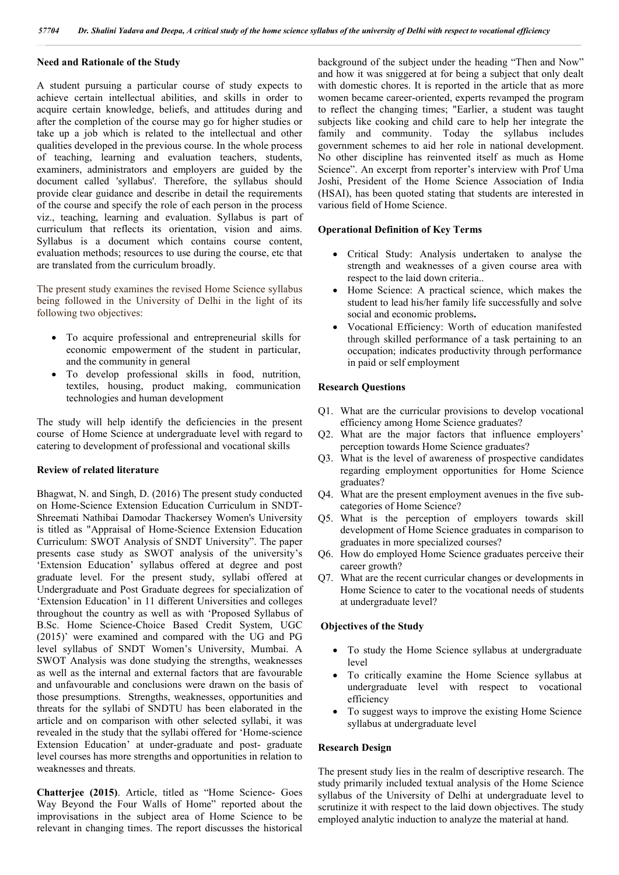### **Need and Rationale of the Study**

A student pursuing a particular course of study expects to achieve certain intellectual abilities, and skills in order to acquire certain knowledge, beliefs, and attitudes during and after the completion of the course may go for higher studies or take up a job which is related to the intellectual and other qualities developed in the previous course. In the whole process of teaching, learning and evaluation teachers, students, examiners, administrators and employers are guided by the document called 'syllabus'. Therefore, the syllabus should provide clear guidance and describe in detail the requirements of the course and specify the role of each person in the process viz., teaching, learning and evaluation. Syllabus is part of curriculum that reflects its orientation, vision and aims. Syllabus is a document which contains course content, evaluation methods; resources to use during the course, etc that are translated from the curriculum broadly.

The present study examines the revised Home Science syllabus being followed in the University of Delhi in the light of its following two objectives:

- To acquire professional and entrepreneurial skills for economic empowerment of the student in particular, and the community in general
- To develop professional skills in food, nutrition, textiles, housing, product making, communication technologies and human development

The study will help identify the deficiencies in the present course of Home Science at undergraduate level with regard to catering to development of professional and vocational skills

### **Review of related literature**

Bhagwat, N. and Singh, D. (2016) The present study conducted on Home-Science Extension Education Curriculum in SNDT-Shreemati Nathibai Damodar Thackersey Women's University is titled as "Appraisal of Home-Science Extension Education Curriculum: SWOT Analysis of SNDT University". The paper presents case study as SWOT analysis of the university's 'Extension Education' syllabus offered at degree and post graduate level. For the present study, syllabi offered at Undergraduate and Post Graduate degrees for specialization of 'Extension Education' in 11 different Universities and colleges throughout the country as well as with 'Proposed Syllabus of B.Sc. Home Science-Choice Based Credit System, UGC (2015)' were examined and compared with the UG and PG level syllabus of SNDT Women's University, Mumbai. A SWOT Analysis was done studying the strengths, weaknesses as well as the internal and external factors that are favourable and unfavourable and conclusions were drawn on the basis of those presumptions. Strengths, weaknesses, opportunities and threats for the syllabi of SNDTU has been elaborated in the article and on comparison with other selected syllabi, it was revealed in the study that the syllabi offered for 'Home-science Extension Education' at under-graduate and post- graduate level courses has more strengths and opportunities in relation to weaknesses and threats.

**Chatterjee (2015)**. Article, titled as "Home Science- Goes Way Beyond the Four Walls of Home" reported about the improvisations in the subject area of Home Science to be relevant in changing times. The report discusses the historical

background of the subject under the heading "Then and Now" and how it was sniggered at for being a subject that only dealt with domestic chores. It is reported in the article that as more women became career-oriented, experts revamped the program to reflect the changing times; "Earlier, a student was taught subjects like cooking and child care to help her integrate the family and community. Today the syllabus includes government schemes to aid her role in national development. No other discipline has reinvented itself as much as Home Science". An excerpt from reporter's interview with Prof Uma Joshi, President of the Home Science Association of India (HSAI), has been quoted stating that students are interested in various field of Home Science.

#### **Operational Definition of Key Terms**

- Critical Study: Analysis undertaken to analyse the strength and weaknesses of a given course area with respect to the laid down criteria..
- Home Science: A practical science, which makes the student to lead his/her family life successfully and solve social and economic problems**.**
- Vocational Efficiency: Worth of education manifested through skilled performance of a task pertaining to an occupation; indicates productivity through performance in paid or self employment

#### **Research Questions**

- Q1. What are the curricular provisions to develop vocational efficiency among Home Science graduates?
- Q2. What are the major factors that influence employers' perception towards Home Science graduates?
- Q3. What is the level of awareness of prospective candidates regarding employment opportunities for Home Science graduates?
- Q4. What are the present employment avenues in the five subcategories of Home Science?
- Q5. What is the perception of employers towards skill development of Home Science graduates in comparison to graduates in more specialized courses?
- Q6. How do employed Home Science graduates perceive their career growth?
- Q7. What are the recent curricular changes or developments in Home Science to cater to the vocational needs of students at undergraduate level?

#### **Objectives of the Study**

- To study the Home Science syllabus at undergraduate level
- To critically examine the Home Science syllabus at undergraduate level with respect to vocational efficiency
- To suggest ways to improve the existing Home Science syllabus at undergraduate level

#### **Research Design**

The present study lies in the realm of descriptive research. The study primarily included textual analysis of the Home Science syllabus of the University of Delhi at undergraduate level to scrutinize it with respect to the laid down objectives. The study employed analytic induction to analyze the material at hand.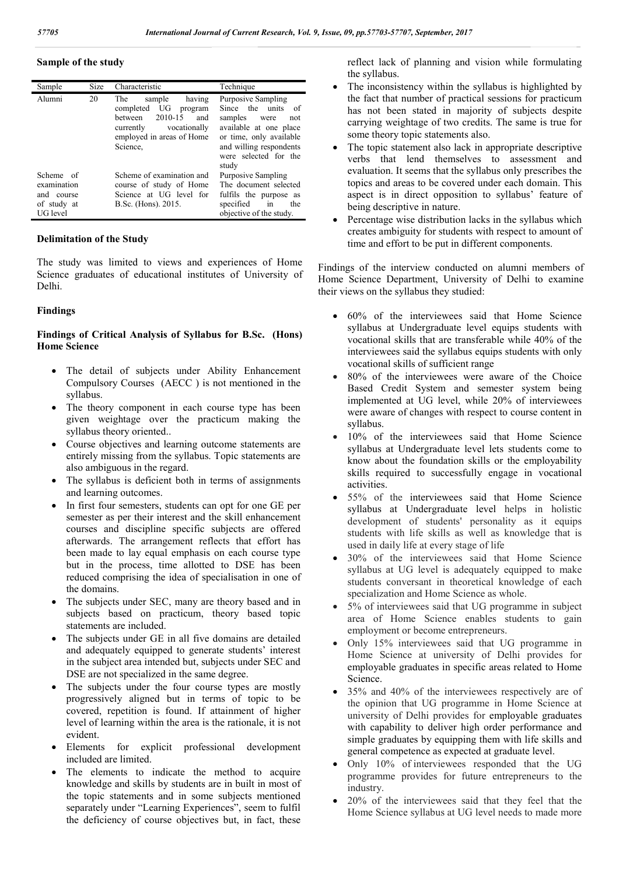### **Sample of the study**

| Sample                                                               | Size | Characteristic                                                                                                                                        | Technique                                                                                                                                                                                       |
|----------------------------------------------------------------------|------|-------------------------------------------------------------------------------------------------------------------------------------------------------|-------------------------------------------------------------------------------------------------------------------------------------------------------------------------------------------------|
| Alumni                                                               | 20   | sample<br>The<br>having<br>completed UG<br>program<br>2010-15<br>hetween<br>and<br>currently<br>vocationally<br>employed in areas of Home<br>Science. | <b>Purposive Sampling</b><br>Since the units<br>-of<br>samples<br>not<br>were<br>available at one place<br>or time, only available<br>and willing respondents<br>were selected for the<br>study |
| Scheme of<br>examination<br>and<br>course<br>of study at<br>UG level |      | Scheme of examination and<br>course of study of Home<br>Science at UG level for<br>B.Sc. (Hons). 2015.                                                | <b>Purposive Sampling</b><br>The document selected<br>fulfils the purpose as<br>specified<br>the<br>in<br>objective of the study.                                                               |

## **Delimitation of the Study**

The study was limited to views and experiences of Home Science graduates of educational institutes of University of Delhi.

## **Findings**

## **Findings of Critical Analysis of Syllabus for B.Sc. (Hons) Home Science**

- The detail of subjects under Ability Enhancement Compulsory Courses (AECC ) is not mentioned in the syllabus.
- The theory component in each course type has been given weightage over the practicum making the syllabus theory oriented..
- Course objectives and learning outcome statements are entirely missing from the syllabus. Topic statements are also ambiguous in the regard.
- The syllabus is deficient both in terms of assignments and learning outcomes.
- In first four semesters, students can opt for one GE per semester as per their interest and the skill enhancement courses and discipline specific subjects are offered afterwards. The arrangement reflects that effort has been made to lay equal emphasis on each course type but in the process, time allotted to DSE has been reduced comprising the idea of specialisation in one of the domains.
- The subjects under SEC, many are theory based and in subjects based on practicum, theory based topic statements are included.
- The subjects under GE in all five domains are detailed and adequately equipped to generate students' interest in the subject area intended but, subjects under SEC and DSE are not specialized in the same degree.
- The subjects under the four course types are mostly progressively aligned but in terms of topic to be covered, repetition is found. If attainment of higher level of learning within the area is the rationale, it is not evident.
- Elements for explicit professional development included are limited.
- The elements to indicate the method to acquire knowledge and skills by students are in built in most of the topic statements and in some subjects mentioned separately under "Learning Experiences", seem to fulfil the deficiency of course objectives but, in fact, these

reflect lack of planning and vision while formulating the syllabus.

- The inconsistency within the syllabus is highlighted by the fact that number of practical sessions for practicum has not been stated in majority of subjects despite carrying weightage of two credits. The same is true for some theory topic statements also.
- The topic statement also lack in appropriate descriptive verbs that lend themselves to assessment and evaluation. It seems that the syllabus only prescribes the topics and areas to be covered under each domain. This aspect is in direct opposition to syllabus' feature of being descriptive in nature.
- Percentage wise distribution lacks in the syllabus which creates ambiguity for students with respect to amount of time and effort to be put in different components.

Findings of the interview conducted on alumni members of Home Science Department, University of Delhi to examine their views on the syllabus they studied:

- 60% of the interviewees said that Home Science syllabus at Undergraduate level equips students with vocational skills that are transferable while 40% of the interviewees said the syllabus equips students with only vocational skills of sufficient range
- 80% of the interviewees were aware of the Choice Based Credit System and semester system being implemented at UG level, while 20% of interviewees were aware of changes with respect to course content in syllabus.
- 10% of the interviewees said that Home Science syllabus at Undergraduate level lets students come to know about the foundation skills or the employability skills required to successfully engage in vocational activities.
- 55% of the interviewees said that Home Science syllabus at Undergraduate level helps in holistic development of students' personality as it equips students with life skills as well as knowledge that is used in daily life at every stage of life
- 30% of the interviewees said that Home Science syllabus at UG level is adequately equipped to make students conversant in theoretical knowledge of each specialization and Home Science as whole.
- 5% of interviewees said that UG programme in subject area of Home Science enables students to gain employment or become entrepreneurs.
- Only 15% interviewees said that UG programme in Home Science at university of Delhi provides for employable graduates in specific areas related to Home Science.
- 35% and 40% of the interviewees respectively are of the opinion that UG programme in Home Science at university of Delhi provides for employable graduates with capability to deliver high order performance and simple graduates by equipping them with life skills and general competence as expected at graduate level.
- Only 10% of interviewees responded that the UG programme provides for future entrepreneurs to the industry.
- 20% of the interviewees said that they feel that the Home Science syllabus at UG level needs to made more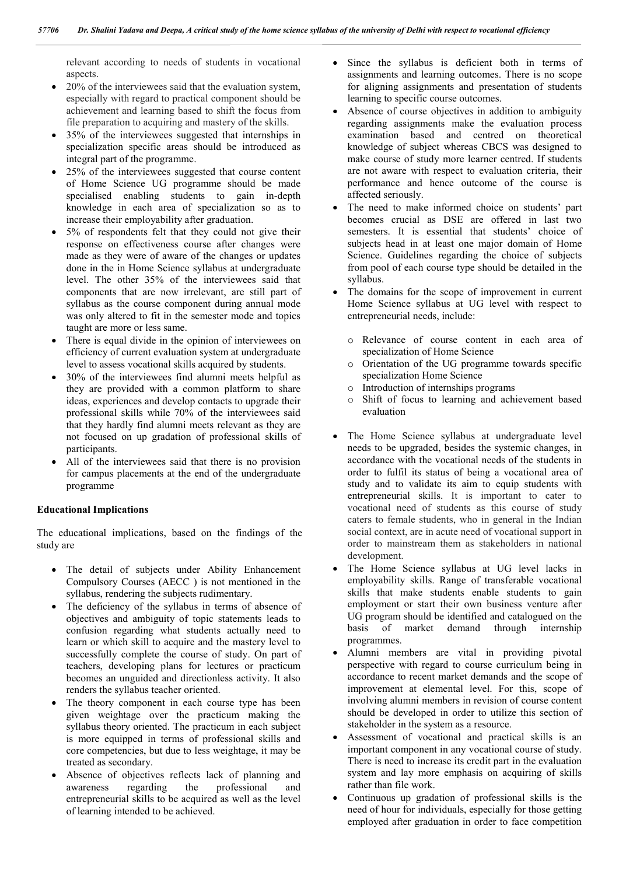relevant according to needs of students in vocational aspects.

- 20% of the interviewees said that the evaluation system, especially with regard to practical component should be achievement and learning based to shift the focus from file preparation to acquiring and mastery of the skills.
- 35% of the interviewees suggested that internships in specialization specific areas should be introduced as integral part of the programme.
- 25% of the interviewees suggested that course content of Home Science UG programme should be made specialised enabling students to gain in-depth knowledge in each area of specialization so as to increase their employability after graduation.
- 5% of respondents felt that they could not give their response on effectiveness course after changes were made as they were of aware of the changes or updates done in the in Home Science syllabus at undergraduate level. The other 35% of the interviewees said that components that are now irrelevant, are still part of syllabus as the course component during annual mode was only altered to fit in the semester mode and topics taught are more or less same.
- There is equal divide in the opinion of interviewees on efficiency of current evaluation system at undergraduate level to assess vocational skills acquired by students.
- 30% of the interviewees find alumni meets helpful as they are provided with a common platform to share ideas, experiences and develop contacts to upgrade their professional skills while 70% of the interviewees said that they hardly find alumni meets relevant as they are not focused on up gradation of professional skills of participants.
- All of the interviewees said that there is no provision for campus placements at the end of the undergraduate programme

### **Educational Implications**

The educational implications, based on the findings of the study are

- The detail of subjects under Ability Enhancement Compulsory Courses (AECC ) is not mentioned in the syllabus, rendering the subjects rudimentary.
- The deficiency of the syllabus in terms of absence of objectives and ambiguity of topic statements leads to confusion regarding what students actually need to learn or which skill to acquire and the mastery level to successfully complete the course of study. On part of teachers, developing plans for lectures or practicum becomes an unguided and directionless activity. It also renders the syllabus teacher oriented.
- The theory component in each course type has been given weightage over the practicum making the syllabus theory oriented. The practicum in each subject is more equipped in terms of professional skills and core competencies, but due to less weightage, it may be treated as secondary.
- Absence of objectives reflects lack of planning and awareness regarding the professional and entrepreneurial skills to be acquired as well as the level of learning intended to be achieved.
- Since the syllabus is deficient both in terms of assignments and learning outcomes. There is no scope for aligning assignments and presentation of students learning to specific course outcomes.
- Absence of course objectives in addition to ambiguity regarding assignments make the evaluation process examination based and centred on theoretical knowledge of subject whereas CBCS was designed to make course of study more learner centred. If students are not aware with respect to evaluation criteria, their performance and hence outcome of the course is affected seriously.
- The need to make informed choice on students' part becomes crucial as DSE are offered in last two semesters. It is essential that students' choice of subjects head in at least one major domain of Home Science. Guidelines regarding the choice of subjects from pool of each course type should be detailed in the syllabus.
- The domains for the scope of improvement in current Home Science syllabus at UG level with respect to entrepreneurial needs, include:
	- o Relevance of course content in each area of specialization of Home Science
	- o Orientation of the UG programme towards specific specialization Home Science
	- o Introduction of internships programs
	- o Shift of focus to learning and achievement based evaluation
- The Home Science syllabus at undergraduate level needs to be upgraded, besides the systemic changes, in accordance with the vocational needs of the students in order to fulfil its status of being a vocational area of study and to validate its aim to equip students with entrepreneurial skills. It is important to cater to vocational need of students as this course of study caters to female students, who in general in the Indian social context, are in acute need of vocational support in order to mainstream them as stakeholders in national development.
- The Home Science syllabus at UG level lacks in employability skills. Range of transferable vocational skills that make students enable students to gain employment or start their own business venture after UG program should be identified and catalogued on the basis of market demand through internship programmes.
- Alumni members are vital in providing pivotal perspective with regard to course curriculum being in accordance to recent market demands and the scope of improvement at elemental level. For this, scope of involving alumni members in revision of course content should be developed in order to utilize this section of stakeholder in the system as a resource.
- Assessment of vocational and practical skills is an important component in any vocational course of study. There is need to increase its credit part in the evaluation system and lay more emphasis on acquiring of skills rather than file work.
- Continuous up gradation of professional skills is the need of hour for individuals, especially for those getting employed after graduation in order to face competition